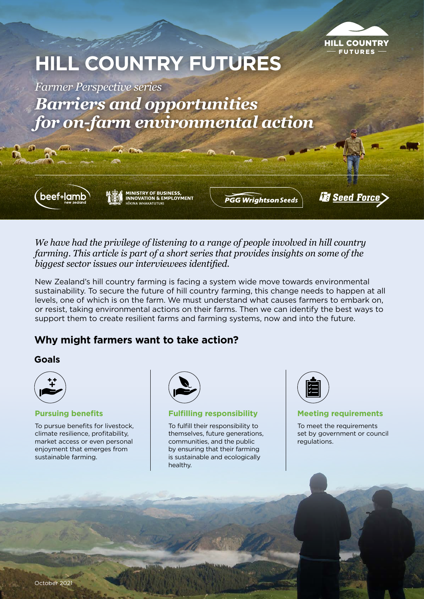

# **HILL COUNTRY FUTURES**

*Farmer Perspective series Barriers and opportunities for on-farm environmental action*



**MINISTRY OF BUSINESS,<br>INNOVATION & EMPLOYMENT HIKINA WHAKATUTUKI** 

 $\sim$   $\sim$ 

**PGG Wrightson Seeds** 

*<u>is Seed Force</u>* 

*We have had the privilege of listening to a range of people involved in hill country farming. This article is part of a short series that provides insights on some of the biggest sector issues our interviewees identified.* 

New Zealand's hill country farming is facing a system wide move towards environmental sustainability. To secure the future of hill country farming, this change needs to happen at all levels, one of which is on the farm. We must understand what causes farmers to embark on, or resist, taking environmental actions on their farms. Then we can identify the best ways to support them to create resilient farms and farming systems, now and into the future.

## **Why might farmers want to take action?**

### **Goals**

|        | ₽ |
|--------|---|
| ı<br>٠ |   |

### **Pursuing benefits**

To pursue benefits for livestock, climate resilience, profitability, market access or even personal enjoyment that emerges from sustainable farming.



### **Fulfilling responsibility**

To fulfill their responsibility to themselves, future generations, communities, and the public by ensuring that their farming is sustainable and ecologically healthy.



### **Meeting requirements**

To meet the requirements set by government or council regulations.